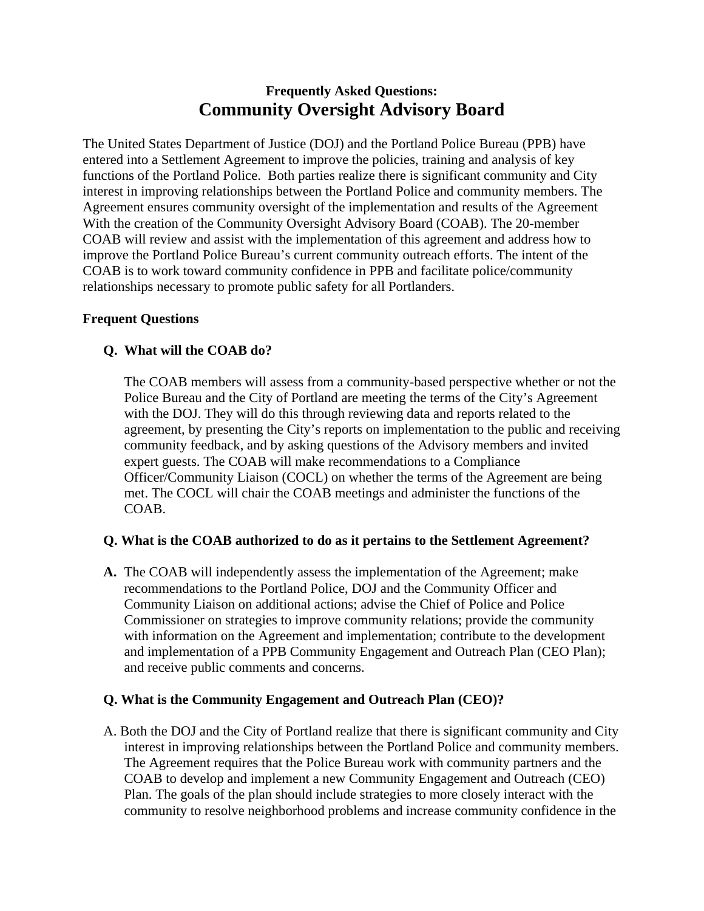# **Frequently Asked Questions: Community Oversight Advisory Board**

The United States Department of Justice (DOJ) and the Portland Police Bureau (PPB) have entered into a Settlement Agreement to improve the policies, training and analysis of key functions of the Portland Police. Both parties realize there is significant community and City interest in improving relationships between the Portland Police and community members. The Agreement ensures community oversight of the implementation and results of the Agreement With the creation of the Community Oversight Advisory Board (COAB). The 20-member COAB will review and assist with the implementation of this agreement and address how to improve the Portland Police Bureau's current community outreach efforts. The intent of the COAB is to work toward community confidence in PPB and facilitate police/community relationships necessary to promote public safety for all Portlanders.

### **Frequent Questions**

### **Q. What will the COAB do?**

The COAB members will assess from a community-based perspective whether or not the Police Bureau and the City of Portland are meeting the terms of the City's Agreement with the DOJ. They will do this through reviewing data and reports related to the agreement, by presenting the City's reports on implementation to the public and receiving community feedback, and by asking questions of the Advisory members and invited expert guests. The COAB will make recommendations to a Compliance Officer/Community Liaison (COCL) on whether the terms of the Agreement are being met. The COCL will chair the COAB meetings and administer the functions of the COAB.

### **Q. What is the COAB authorized to do as it pertains to the Settlement Agreement?**

**A.** The COAB will independently assess the implementation of the Agreement; make recommendations to the Portland Police, DOJ and the Community Officer and Community Liaison on additional actions; advise the Chief of Police and Police Commissioner on strategies to improve community relations; provide the community with information on the Agreement and implementation; contribute to the development and implementation of a PPB Community Engagement and Outreach Plan (CEO Plan); and receive public comments and concerns.

# **Q. What is the Community Engagement and Outreach Plan (CEO)?**

A. Both the DOJ and the City of Portland realize that there is significant community and City interest in improving relationships between the Portland Police and community members. The Agreement requires that the Police Bureau work with community partners and the COAB to develop and implement a new Community Engagement and Outreach (CEO) Plan. The goals of the plan should include strategies to more closely interact with the community to resolve neighborhood problems and increase community confidence in the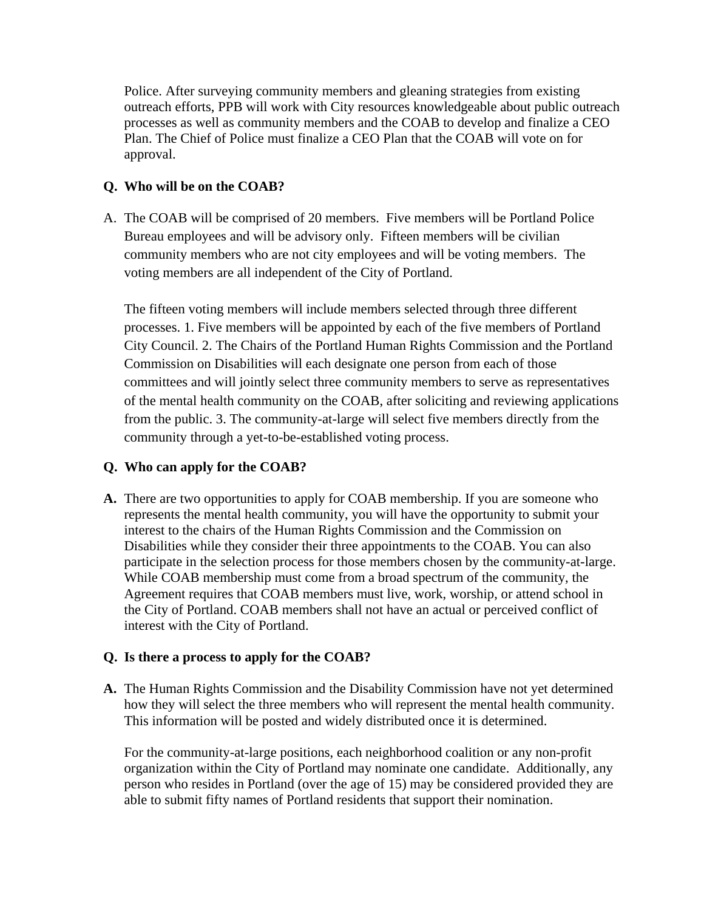Police. After surveying community members and gleaning strategies from existing outreach efforts, PPB will work with City resources knowledgeable about public outreach processes as well as community members and the COAB to develop and finalize a CEO Plan. The Chief of Police must finalize a CEO Plan that the COAB will vote on for approval.

## **Q. Who will be on the COAB?**

A. The COAB will be comprised of 20 members. Five members will be Portland Police Bureau employees and will be advisory only. Fifteen members will be civilian community members who are not city employees and will be voting members. The voting members are all independent of the City of Portland.

The fifteen voting members will include members selected through three different processes. 1. Five members will be appointed by each of the five members of Portland City Council. 2. The Chairs of the Portland Human Rights Commission and the Portland Commission on Disabilities will each designate one person from each of those committees and will jointly select three community members to serve as representatives of the mental health community on the COAB, after soliciting and reviewing applications from the public. 3. The community-at-large will select five members directly from the community through a yet-to-be-established voting process.

### **Q. Who can apply for the COAB?**

**A.** There are two opportunities to apply for COAB membership. If you are someone who represents the mental health community, you will have the opportunity to submit your interest to the chairs of the Human Rights Commission and the Commission on Disabilities while they consider their three appointments to the COAB. You can also participate in the selection process for those members chosen by the community-at-large. While COAB membership must come from a broad spectrum of the community, the Agreement requires that COAB members must live, work, worship, or attend school in the City of Portland. COAB members shall not have an actual or perceived conflict of interest with the City of Portland.

# **Q. Is there a process to apply for the COAB?**

**A.** The Human Rights Commission and the Disability Commission have not yet determined how they will select the three members who will represent the mental health community. This information will be posted and widely distributed once it is determined.

For the community-at-large positions, each neighborhood coalition or any non-profit organization within the City of Portland may nominate one candidate. Additionally, any person who resides in Portland (over the age of 15) may be considered provided they are able to submit fifty names of Portland residents that support their nomination.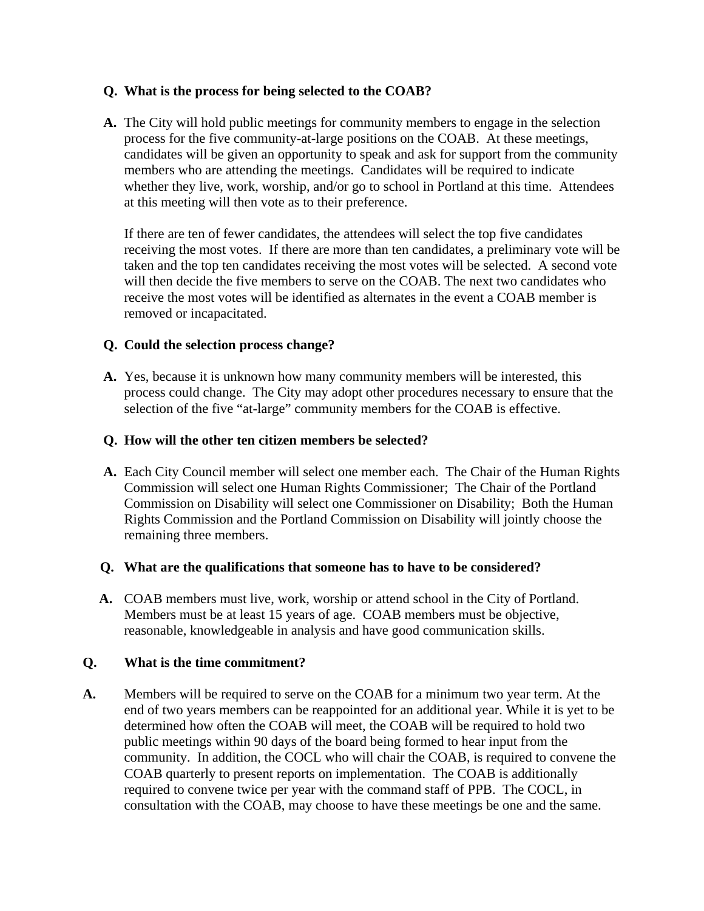### **Q. What is the process for being selected to the COAB?**

**A.** The City will hold public meetings for community members to engage in the selection process for the five community-at-large positions on the COAB. At these meetings, candidates will be given an opportunity to speak and ask for support from the community members who are attending the meetings. Candidates will be required to indicate whether they live, work, worship, and/or go to school in Portland at this time. Attendees at this meeting will then vote as to their preference.

If there are ten of fewer candidates, the attendees will select the top five candidates receiving the most votes. If there are more than ten candidates, a preliminary vote will be taken and the top ten candidates receiving the most votes will be selected. A second vote will then decide the five members to serve on the COAB. The next two candidates who receive the most votes will be identified as alternates in the event a COAB member is removed or incapacitated.

### **Q. Could the selection process change?**

**A.** Yes, because it is unknown how many community members will be interested, this process could change. The City may adopt other procedures necessary to ensure that the selection of the five "at-large" community members for the COAB is effective.

## **Q. How will the other ten citizen members be selected?**

**A.** Each City Council member will select one member each. The Chair of the Human Rights Commission will select one Human Rights Commissioner; The Chair of the Portland Commission on Disability will select one Commissioner on Disability; Both the Human Rights Commission and the Portland Commission on Disability will jointly choose the remaining three members.

### **Q. What are the qualifications that someone has to have to be considered?**

**A.** COAB members must live, work, worship or attend school in the City of Portland. Members must be at least 15 years of age. COAB members must be objective, reasonable, knowledgeable in analysis and have good communication skills.

### **Q. What is the time commitment?**

**A.** Members will be required to serve on the COAB for a minimum two year term. At the end of two years members can be reappointed for an additional year. While it is yet to be determined how often the COAB will meet, the COAB will be required to hold two public meetings within 90 days of the board being formed to hear input from the community. In addition, the COCL who will chair the COAB, is required to convene the COAB quarterly to present reports on implementation. The COAB is additionally required to convene twice per year with the command staff of PPB. The COCL, in consultation with the COAB, may choose to have these meetings be one and the same.